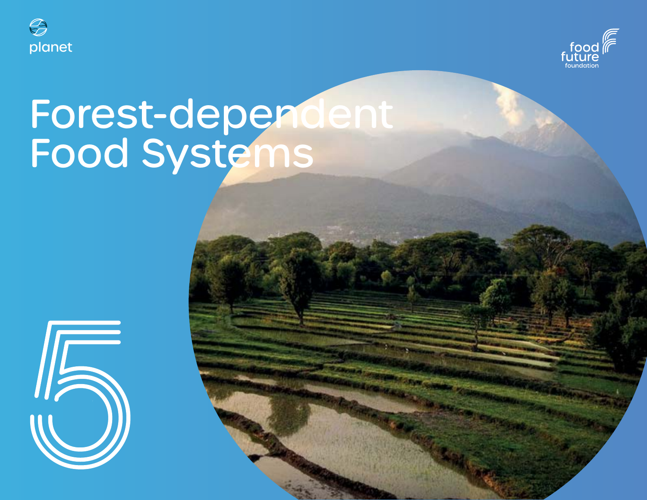



# Forest-dependent Food Systems

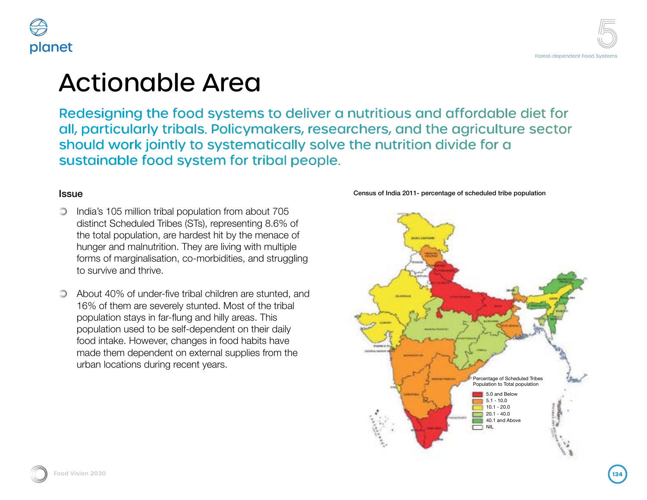



### Actionable Area

Redesigning the food systems to deliver a nutritious and affordable diet for all, particularly tribals. Policymakers, researchers, and the agriculture sector should work jointly to systematically solve the nutrition divide for a sustainable food system for tribal people.

#### **Issue**

- India's 105 million tribal population from about 705  $\circledcirc$ distinct Scheduled Tribes (STs), representing 8.6% of the total population, are hardest hit by the menace of hunger and malnutrition. They are living with multiple forms of marginalisation, co-morbidities, and struggling to survive and thrive.
- About 40% of under-five tribal children are stunted, and 16% of them are severely stunted. Most of the tribal population stays in far-flung and hilly areas. This population used to be self-dependent on their daily food intake. However, changes in food habits have made them dependent on external supplies from the urban locations during recent years.

Census of India 2011- percentage of scheduled tribe population

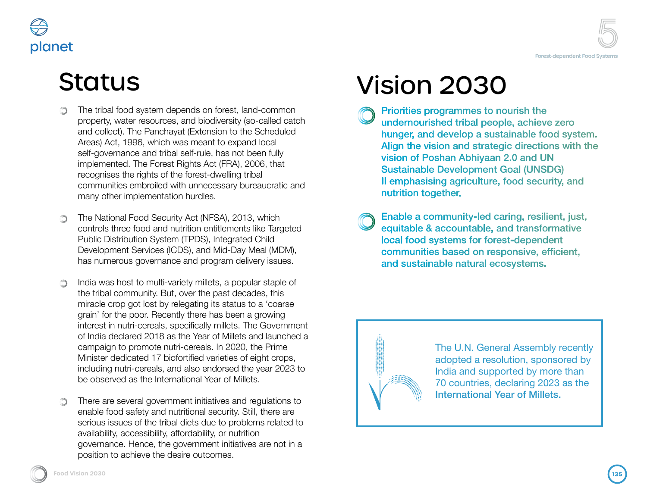



# **Status**

- The tribal food system depends on forest, land-common  $\circlearrowright$ property, water resources, and biodiversity (so-called catch and collect). The Panchayat (Extension to the Scheduled Areas) Act, 1996, which was meant to expand local self-governance and tribal self-rule, has not been fully implemented. The Forest Rights Act (FRA), 2006, that recognises the rights of the forest-dwelling tribal communities embroiled with unnecessary bureaucratic and many other implementation hurdles.
- The National Food Security Act (NFSA), 2013, which controls three food and nutrition entitlements like Targeted Public Distribution System (TPDS), Integrated Child Development Services (ICDS), and Mid-Day Meal (MDM), has numerous governance and program delivery issues.
- India was host to multi-variety millets, a popular staple of the tribal community. But, over the past decades, this miracle crop got lost by relegating its status to a 'coarse grain' for the poor. Recently there has been a growing interest in nutri-cereals, specifically millets. The Government of India declared 2018 as the Year of Millets and launched a campaign to promote nutri-cereals. In 2020, the Prime Minister dedicated 17 biofortified varieties of eight crops, including nutri-cereals, and also endorsed the year 2023 to be observed as the International Year of Millets.
- There are several government initiatives and regulations to enable food safety and nutritional security. Still, there are serious issues of the tribal diets due to problems related to availability, accessibility, affordability, or nutrition governance. Hence, the government initiatives are not in a position to achieve the desire outcomes.

# Vision 2030

- Priorities programmes to nourish the undernourished tribal people, achieve zero hunger, and develop a sustainable food system. Align the vision and strategic directions with the vision of Poshan Abhiyaan 2.0 and UN **Sustainable Development Goal (UNSDG)** Il emphasising agriculture, food security, and nutrition together.
- Enable a community-led caring, resilient, just, equitable & accountable, and transformative local food systems for forest-dependent communities based on responsive, efficient, and sustainable natural ecosystems.

The U.N. General Assembly recently adopted a resolution, sponsored by India and supported by more than 70 countries, declaring 2023 as the International Year of Millets.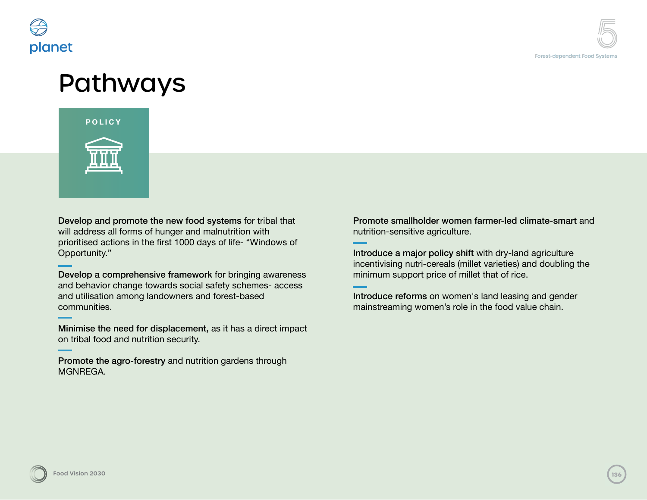

# Pathways



Develop and promote the new food systems for tribal that will address all forms of hunger and malnutrition with prioritised actions in the first 1000 days of life- "Windows of Opportunity."

Develop a comprehensive framework for bringing awareness and behavior change towards social safety schemes- access and utilisation among landowners and forest-based communities.

Minimise the need for displacement, as it has a direct impact on tribal food and nutrition security.

Promote the agro-forestry and nutrition gardens through MGNREGA.

Promote smallholder women farmer-led climate-smart and nutrition-sensitive agriculture.

Introduce a major policy shift with dry-land agriculture incentivising nutri-cereals (millet varieties) and doubling the minimum support price of millet that of rice.

Introduce reforms on women's land leasing and gender mainstreaming women's role in the food value chain.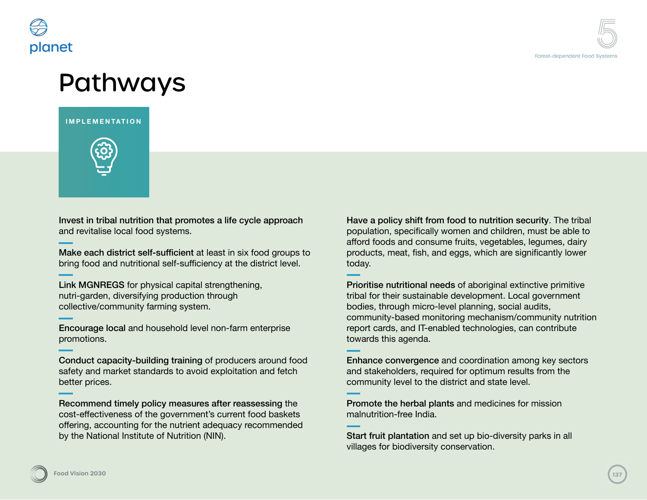

### Pathways

**IMPLEMENTATION**



Invest in tribal nutrition that promotes a life cycle approach and revitalise local food systems.

Make each district self-sufficient at least in six food groups to bring food and nutritional self-sufficiency at the district level.

Link MGNREGS for physical capital strengthening, nutri-garden, diversifying production through collective/community farming system.

Encourage local and household level non-farm enterprise promotions.

Conduct capacity-building training of producers around food safety and market standards to avoid exploitation and fetch better prices.

Recommend timely policy measures after reassessing the cost-effectiveness of the government's current food baskets offering, accounting for the nutrient adequacy recommended by the National Institute of Nutrition (NIN).

Have a policy shift from food to nutrition security. The tribal population, specifically women and children, must be able to afford foods and consume fruits, vegetables, legumes, dairy products, meat, fish, and eggs, which are significantly lower today.

Prioritise nutritional needs of aboriginal extinctive primitive tribal for their sustainable development. Local government bodies, through micro-level planning, social audits, community-based monitoring mechanism/community nutrition report cards, and IT-enabled technologies, can contribute towards this agenda.

Enhance convergence and coordination among key sectors and stakeholders, required for optimum results from the community level to the district and state level.

Promote the herbal plants and medicines for mission malnutrition-free India.

Start fruit plantation and set up bio-diversity parks in all villages for biodiversity conservation.